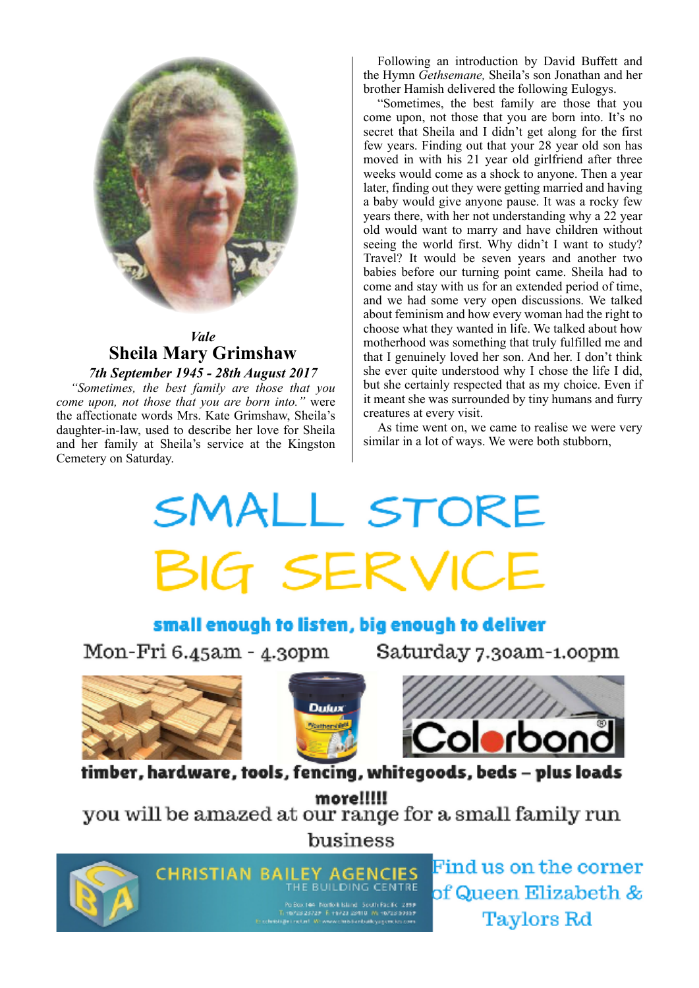

# *Vale* **Sheila Mary Grimshaw**

### *7th September 1945 - 28th August 2017*

*"Sometimes, the best family are those that you come upon, not those that you are born into."* were the affectionate words Mrs. Kate Grimshaw, Sheila's daughter-in-law, used to describe her love for Sheila and her family at Sheila's service at the Kingston Cemetery on Saturday.

Following an introduction by David Buffett and the Hymn *Gethsemane,* Sheila's son Jonathan and her brother Hamish delivered the following Eulogys.

"Sometimes, the best family are those that you come upon, not those that you are born into. It's no secret that Sheila and I didn't get along for the first few years. Finding out that your 28 year old son has moved in with his 21 year old girlfriend after three weeks would come as a shock to anyone. Then a year later, finding out they were getting married and having a baby would give anyone pause. It was a rocky few years there, with her not understanding why a 22 year old would want to marry and have children without seeing the world first. Why didn't I want to study? Travel? It would be seven years and another two babies before our turning point came. Sheila had to come and stay with us for an extended period of time, and we had some very open discussions. We talked about feminism and how every woman had the right to choose what they wanted in life. We talked about how motherhood was something that truly fulfilled me and that I genuinely loved her son. And her. I don't think she ever quite understood why I chose the life I did, but she certainly respected that as my choice. Even if it meant she was surrounded by tiny humans and furry creatures at every visit.

As time went on, we came to realise we were very similar in a lot of ways. We were both stubborn,

# SMALL STORE **BIG SERVICE**

## small enough to listen, big enough to deliver

Mon-Fri 6.45am - 4.30pm

Saturday 7.30am-1.00pm







timber, hardware, tools, fencing, whitegoods, beds - plus loads

more!!!!! you will be amazed at our range for a small family run business



**CHRISTIAN BAILEY AGENCIES** Po Box 144 - Northek Island - South Pacific 1999<br>Tri-BAIS 23729 - Prime 23910 - Write 23939<br>Enchristige instant - Write www.ambiterbailky.gom.ko.com

Find us on the corner of Queen Elizabeth & **Taylors Rd**